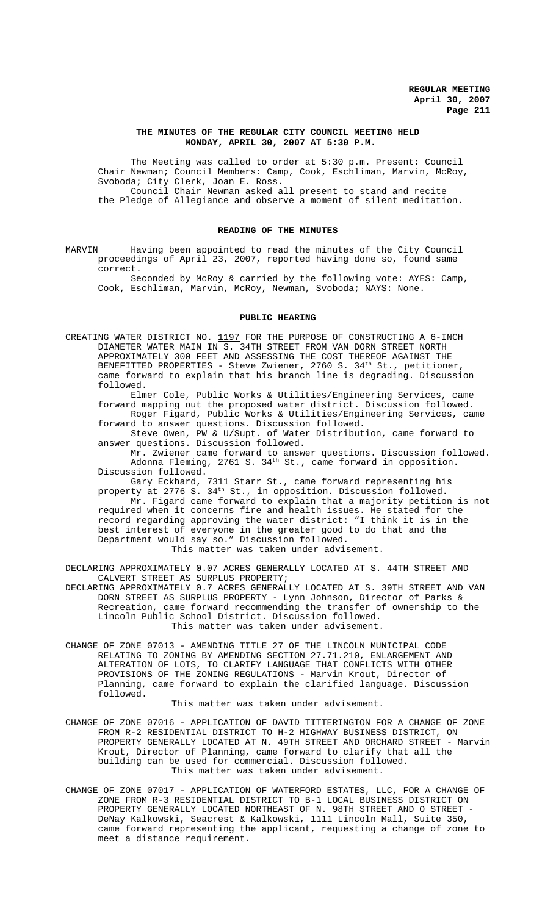### **THE MINUTES OF THE REGULAR CITY COUNCIL MEETING HELD MONDAY, APRIL 30, 2007 AT 5:30 P.M.**

The Meeting was called to order at 5:30 p.m. Present: Council Chair Newman; Council Members: Camp, Cook, Eschliman, Marvin, McRoy, Svoboda; City Clerk, Joan E. Ross. Council Chair Newman asked all present to stand and recite the Pledge of Allegiance and observe a moment of silent meditation.

## **READING OF THE MINUTES**

MARVIN Having been appointed to read the minutes of the City Council proceedings of April 23, 2007, reported having done so, found same correct.

Seconded by McRoy & carried by the following vote: AYES: Camp, Cook, Eschliman, Marvin, McRoy, Newman, Svoboda; NAYS: None.

#### **PUBLIC HEARING**

CREATING WATER DISTRICT NO. 1197 FOR THE PURPOSE OF CONSTRUCTING A 6-INCH DIAMETER WATER MAIN IN S. 34TH STREET FROM VAN DORN STREET NORTH APPROXIMATELY 300 FEET AND ASSESSING THE COST THEREOF AGAINST THE BENEFITTED PROPERTIES - Steve Zwiener, 2760 S. 34<sup>th</sup> St., petitioner, came forward to explain that his branch line is degrading. Discussion followed.

Elmer Cole, Public Works & Utilities/Engineering Services, came forward mapping out the proposed water district. Discussion followed. Roger Figard, Public Works & Utilities/Engineering Services, came forward to answer questions. Discussion followed.

Steve Owen, PW & U/Supt. of Water Distribution, came forward to answer questions. Discussion followed.

Mr. Zwiener came forward to answer questions. Discussion followed. Adonna Fleming, 2761 S.  $34<sup>th</sup>$  St., came forward in opposition. Discussion followed.

Gary Eckhard, 7311 Starr St., came forward representing his property at 2776 S. 34th St., in opposition. Discussion followed. Mr. Figard came forward to explain that a majority petition is not required when it concerns fire and health issues. He stated for the record regarding approving the water district: "I think it is in the best interest of everyone in the greater good to do that and the Department would say so." Discussion followed. This matter was taken under advisement.

DECLARING APPROXIMATELY 0.07 ACRES GENERALLY LOCATED AT S. 44TH STREET AND CALVERT STREET AS SURPLUS PROPERTY;

DECLARING APPROXIMATELY 0.7 ACRES GENERALLY LOCATED AT S. 39TH STREET AND VAN DORN STREET AS SURPLUS PROPERTY - Lynn Johnson, Director of Parks & Recreation, came forward recommending the transfer of ownership to the Lincoln Public School District. Discussion followed. This matter was taken under advisement.

CHANGE OF ZONE 07013 - AMENDING TITLE 27 OF THE LINCOLN MUNICIPAL CODE RELATING TO ZONING BY AMENDING SECTION 27.71.210, ENLARGEMENT AND ALTERATION OF LOTS, TO CLARIFY LANGUAGE THAT CONFLICTS WITH OTHER PROVISIONS OF THE ZONING REGULATIONS - Marvin Krout, Director of Planning, came forward to explain the clarified language. Discussion followed.

This matter was taken under advisement.

- CHANGE OF ZONE 07016 APPLICATION OF DAVID TITTERINGTON FOR A CHANGE OF ZONE FROM R-2 RESIDENTIAL DISTRICT TO H-2 HIGHWAY BUSINESS DISTRICT, ON PROPERTY GENERALLY LOCATED AT N. 49TH STREET AND ORCHARD STREET - Marvin Krout, Director of Planning, came forward to clarify that all the building can be used for commercial. Discussion followed. This matter was taken under advisement.
- CHANGE OF ZONE 07017 APPLICATION OF WATERFORD ESTATES, LLC, FOR A CHANGE OF ZONE FROM R-3 RESIDENTIAL DISTRICT TO B-1 LOCAL BUSINESS DISTRICT ON PROPERTY GENERALLY LOCATED NORTHEAST OF N. 98TH STREET AND O STREET - DeNay Kalkowski, Seacrest & Kalkowski, 1111 Lincoln Mall, Suite 350, came forward representing the applicant, requesting a change of zone to meet a distance requirement.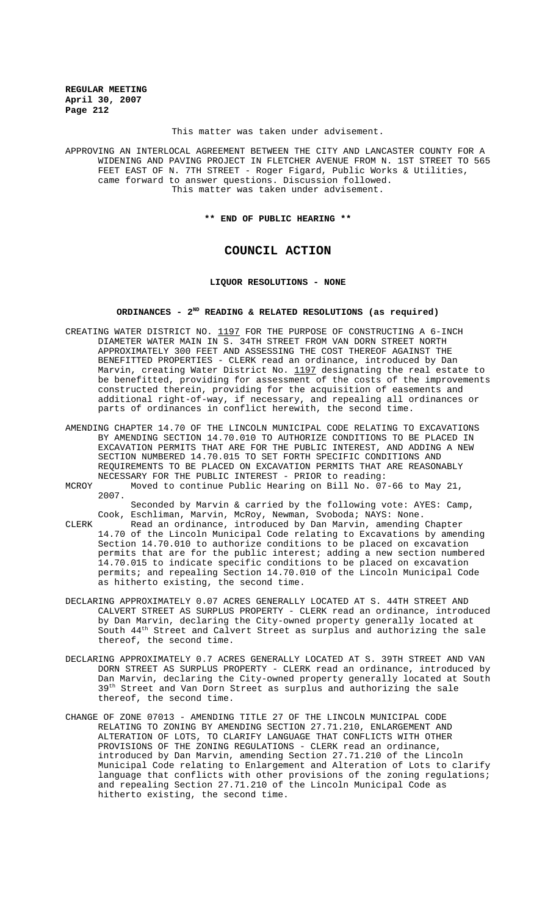This matter was taken under advisement.

APPROVING AN INTERLOCAL AGREEMENT BETWEEN THE CITY AND LANCASTER COUNTY FOR A WIDENING AND PAVING PROJECT IN FLETCHER AVENUE FROM N. 1ST STREET TO 565 FEET EAST OF N. 7TH STREET - Roger Figard, Public Works & Utilities, came forward to answer questions. Discussion followed. This matter was taken under advisement.

**\*\* END OF PUBLIC HEARING \*\***

# **COUNCIL ACTION**

## **LIQUOR RESOLUTIONS - NONE**

# **ORDINANCES - 2ND READING & RELATED RESOLUTIONS (as required)**

- CREATING WATER DISTRICT NO.  $1197$  for the purpose of constructing a 6-INCH DIAMETER WATER MAIN IN S. 34TH STREET FROM VAN DORN STREET NORTH APPROXIMATELY 300 FEET AND ASSESSING THE COST THEREOF AGAINST THE BENEFITTED PROPERTIES - CLERK read an ordinance, introduced by Dan Marvin, creating Water District No. 1197 designating the real estate to be benefitted, providing for assessment of the costs of the improvements constructed therein, providing for the acquisition of easements and additional right-of-way, if necessary, and repealing all ordinances or parts of ordinances in conflict herewith, the second time.
- AMENDING CHAPTER 14.70 OF THE LINCOLN MUNICIPAL CODE RELATING TO EXCAVATIONS BY AMENDING SECTION 14.70.010 TO AUTHORIZE CONDITIONS TO BE PLACED IN EXCAVATION PERMITS THAT ARE FOR THE PUBLIC INTEREST, AND ADDING A NEW SECTION NUMBERED 14.70.015 TO SET FORTH SPECIFIC CONDITIONS AND REQUIREMENTS TO BE PLACED ON EXCAVATION PERMITS THAT ARE REASONABLY NECESSARY FOR THE PUBLIC INTEREST - PRIOR to reading:
- MCROY Moved to continue Public Hearing on Bill No. 07-66 to May 21, 2007.

Seconded by Marvin & carried by the following vote: AYES: Camp, Cook, Eschliman, Marvin, McRoy, Newman, Svoboda; NAYS: None.

- CLERK Read an ordinance, introduced by Dan Marvin, amending Chapter 14.70 of the Lincoln Municipal Code relating to Excavations by amending Section 14.70.010 to authorize conditions to be placed on excavation permits that are for the public interest; adding a new section numbered 14.70.015 to indicate specific conditions to be placed on excavation permits; and repealing Section 14.70.010 of the Lincoln Municipal Code as hitherto existing, the second time.
- DECLARING APPROXIMATELY 0.07 ACRES GENERALLY LOCATED AT S. 44TH STREET AND CALVERT STREET AS SURPLUS PROPERTY - CLERK read an ordinance, introduced by Dan Marvin, declaring the City-owned property generally located at South  $44<sup>th</sup>$  Street and Calvert Street as surplus and authorizing the sale thereof, the second time.
- DECLARING APPROXIMATELY 0.7 ACRES GENERALLY LOCATED AT S. 39TH STREET AND VAN DORN STREET AS SURPLUS PROPERTY - CLERK read an ordinance, introduced by Dan Marvin, declaring the City-owned property generally located at South 39<sup>th</sup> Street and Van Dorn Street as surplus and authorizing the sale thereof, the second time.
- CHANGE OF ZONE 07013 AMENDING TITLE 27 OF THE LINCOLN MUNICIPAL CODE RELATING TO ZONING BY AMENDING SECTION 27.71.210, ENLARGEMENT AND ALTERATION OF LOTS, TO CLARIFY LANGUAGE THAT CONFLICTS WITH OTHER PROVISIONS OF THE ZONING REGULATIONS - CLERK read an ordinance, introduced by Dan Marvin, amending Section 27.71.210 of the Lincoln Municipal Code relating to Enlargement and Alteration of Lots to clarify language that conflicts with other provisions of the zoning regulations; and repealing Section 27.71.210 of the Lincoln Municipal Code as hitherto existing, the second time.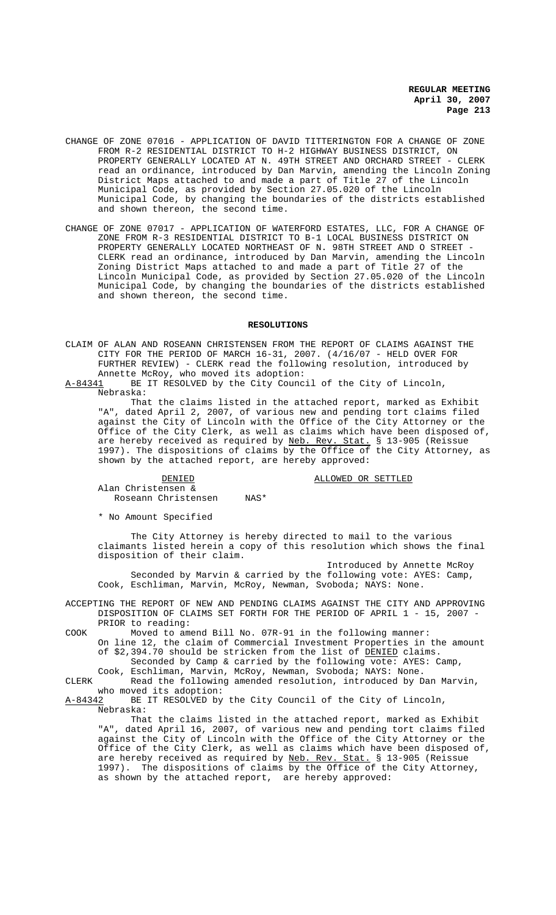- CHANGE OF ZONE 07016 APPLICATION OF DAVID TITTERINGTON FOR A CHANGE OF ZONE FROM R-2 RESIDENTIAL DISTRICT TO H-2 HIGHWAY BUSINESS DISTRICT, ON PROPERTY GENERALLY LOCATED AT N. 49TH STREET AND ORCHARD STREET - CLERK read an ordinance, introduced by Dan Marvin, amending the Lincoln Zoning District Maps attached to and made a part of Title 27 of the Lincoln Municipal Code, as provided by Section 27.05.020 of the Lincoln Municipal Code, by changing the boundaries of the districts established and shown thereon, the second time.
- CHANGE OF ZONE 07017 APPLICATION OF WATERFORD ESTATES, LLC, FOR A CHANGE OF ZONE FROM R-3 RESIDENTIAL DISTRICT TO B-1 LOCAL BUSINESS DISTRICT ON PROPERTY GENERALLY LOCATED NORTHEAST OF N. 98TH STREET AND O STREET - CLERK read an ordinance, introduced by Dan Marvin, amending the Lincoln Zoning District Maps attached to and made a part of Title 27 of the Lincoln Municipal Code, as provided by Section 27.05.020 of the Lincoln Municipal Code, by changing the boundaries of the districts established and shown thereon, the second time.

#### **RESOLUTIONS**

CLAIM OF ALAN AND ROSEANN CHRISTENSEN FROM THE REPORT OF CLAIMS AGAINST THE CITY FOR THE PERIOD OF MARCH 16-31, 2007. (4/16/07 - HELD OVER FOR FURTHER REVIEW) - CLERK read the following resolution, introduced by Annette McRoy, who moved its adoption:<br>A-84341 BE IT RESOLVED by the City Counc

BE IT RESOLVED by the City Council of the City of Lincoln, Nebraska:

That the claims listed in the attached report, marked as Exhibit "A", dated April 2, 2007, of various new and pending tort claims filed against the City of Lincoln with the Office of the City Attorney or the Office of the City Clerk, as well as claims which have been disposed of, are hereby received as required by <u>Neb. Rev. Stat.</u> § 13-905 (Reissue 1997). The dispositions of claims by the Office of the City Attorney, as shown by the attached report, are hereby approved:

### DENIED **DENIED ALLOWED OR SETTLED**

Alan Christensen & Roseann Christensen NAS\*

\* No Amount Specified

The City Attorney is hereby directed to mail to the various claimants listed herein a copy of this resolution which shows the final disposition of their claim.

Introduced by Annette McRoy Seconded by Marvin & carried by the following vote: AYES: Camp, Cook, Eschliman, Marvin, McRoy, Newman, Svoboda; NAYS: None.

ACCEPTING THE REPORT OF NEW AND PENDING CLAIMS AGAINST THE CITY AND APPROVING DISPOSITION OF CLAIMS SET FORTH FOR THE PERIOD OF APRIL 1 - 15, 2007 - PRIOR to reading:

COOK Moved to amend Bill No. 07R-91 in the following manner:

On line 12, the claim of Commercial Investment Properties in the amount of \$2,394.70 should be stricken from the list of DENIED claims. Seconded by Camp & carried by the following vote: AYES: Camp,

Cook, Eschliman, Marvin, McRoy, Newman, Svoboda; NAYS: None.

CLERK Read the following amended resolution, introduced by Dan Marvin,

who moved its adoption:<br>A-84342 BE IT RESOLVED by BE IT RESOLVED by the City Council of the City of Lincoln, Nebraska:

That the claims listed in the attached report, marked as Exhibit "A", dated April 16, 2007, of various new and pending tort claims filed against the City of Lincoln with the Office of the City Attorney or the Office of the City Clerk, as well as claims which have been disposed of, are hereby received as required by Neb. Rev. Stat. § 13-905 (Reissue 1997). The dispositions of claims by the Office of the City Attorney, as shown by the attached report, are hereby approved: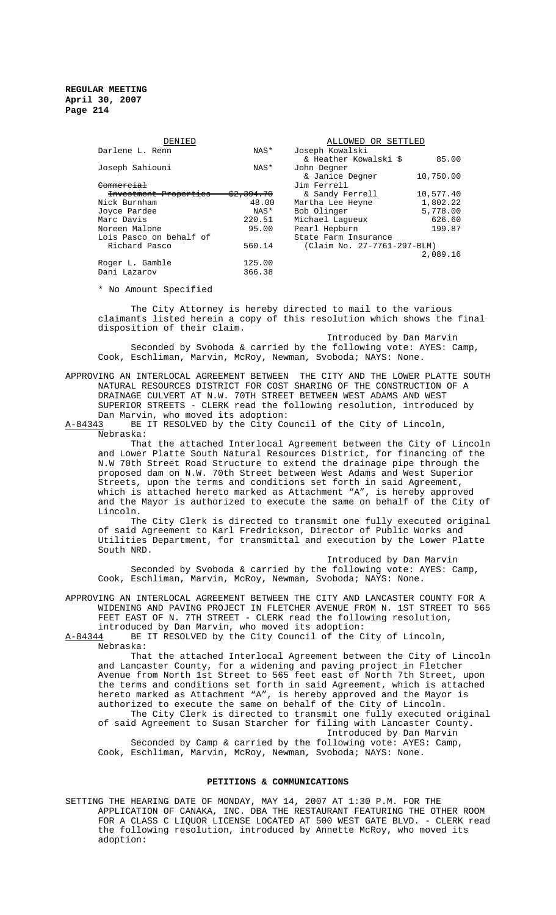| DENIED                  |            | ALLOWED OR SETTLED          |           |
|-------------------------|------------|-----------------------------|-----------|
| Darlene L. Renn         | NAS*       | Joseph Kowalski             |           |
|                         |            | & Heather Kowalski \$       | 85.00     |
| Joseph Sahiouni         | NAS*       | John Degner                 |           |
|                         |            | & Janice Degner             | 10,750.00 |
| <del>Commercial</del>   |            | Jim Ferrell                 |           |
| Investment Properties   | \$2,394.70 | & Sandy Ferrell             | 10,577.40 |
| Nick Burnham            | 48.00      | Martha Lee Heyne            | 1,802.22  |
| Joyce Pardee            | NAS*       | Bob Olinger                 | 5,778.00  |
| Marc Davis              | 220.51     | Michael Laqueux             | 626.60    |
| Noreen Malone           | 95.00      | Pearl Hepburn               | 199.87    |
| Lois Pasco on behalf of |            | State Farm Insurance        |           |
| Richard Pasco           | 560.14     | (Claim No. 27-7761-297-BLM) |           |
|                         |            |                             | 2,089.16  |
| Roger L. Gamble         | 125.00     |                             |           |
| Dani Lazarov            | 366.38     |                             |           |

\* No Amount Specified

The City Attorney is hereby directed to mail to the various claimants listed herein a copy of this resolution which shows the final disposition of their claim.

Introduced by Dan Marvin Seconded by Svoboda & carried by the following vote: AYES: Camp, Cook, Eschliman, Marvin, McRoy, Newman, Svoboda; NAYS: None.

APPROVING AN INTERLOCAL AGREEMENT BETWEEN THE CITY AND THE LOWER PLATTE SOUTH NATURAL RESOURCES DISTRICT FOR COST SHARING OF THE CONSTRUCTION OF A DRAINAGE CULVERT AT N.W. 70TH STREET BETWEEN WEST ADAMS AND WEST SUPERIOR STREETS - CLERK read the following resolution, introduced by Dan Marvin, who moved its adoption:

A-84343 BE IT RESOLVED by the City Council of the City of Lincoln, Nebraska:

That the attached Interlocal Agreement between the City of Lincoln and Lower Platte South Natural Resources District, for financing of the N.W 70th Street Road Structure to extend the drainage pipe through the proposed dam on N.W. 70th Street between West Adams and West Superior Streets, upon the terms and conditions set forth in said Agreement, which is attached hereto marked as Attachment "A", is hereby approved and the Mayor is authorized to execute the same on behalf of the City of Lincoln.

The City Clerk is directed to transmit one fully executed original of said Agreement to Karl Fredrickson, Director of Public Works and Utilities Department, for transmittal and execution by the Lower Platte South NRD.

Introduced by Dan Marvin Seconded by Svoboda & carried by the following vote: AYES: Camp, Cook, Eschliman, Marvin, McRoy, Newman, Svoboda; NAYS: None.

APPROVING AN INTERLOCAL AGREEMENT BETWEEN THE CITY AND LANCASTER COUNTY FOR A WIDENING AND PAVING PROJECT IN FLETCHER AVENUE FROM N. 1ST STREET TO 565 FEET EAST OF N. 7TH STREET - CLERK read the following resolution, introduced by Dan Marvin, who moved its adoption:

A-84344 BE IT RESOLVED by the City Council of the City of Lincoln, Nebraska:

That the attached Interlocal Agreement between the City of Lincoln and Lancaster County, for a widening and paving project in Fletcher Avenue from North 1st Street to 565 feet east of North 7th Street, upon the terms and conditions set forth in said Agreement, which is attached hereto marked as Attachment "A", is hereby approved and the Mayor is authorized to execute the same on behalf of the City of Lincoln. The City Clerk is directed to transmit one fully executed original of said Agreement to Susan Starcher for filing with Lancaster County. Introduced by Dan Marvin

Seconded by Camp & carried by the following vote: AYES: Camp, Cook, Eschliman, Marvin, McRoy, Newman, Svoboda; NAYS: None.

# **PETITIONS & COMMUNICATIONS**

SETTING THE HEARING DATE OF MONDAY, MAY 14, 2007 AT 1:30 P.M. FOR THE APPLICATION OF CANAKA, INC. DBA THE RESTAURANT FEATURING THE OTHER ROOM FOR A CLASS C LIQUOR LICENSE LOCATED AT 500 WEST GATE BLVD. - CLERK read the following resolution, introduced by Annette McRoy, who moved its adoption: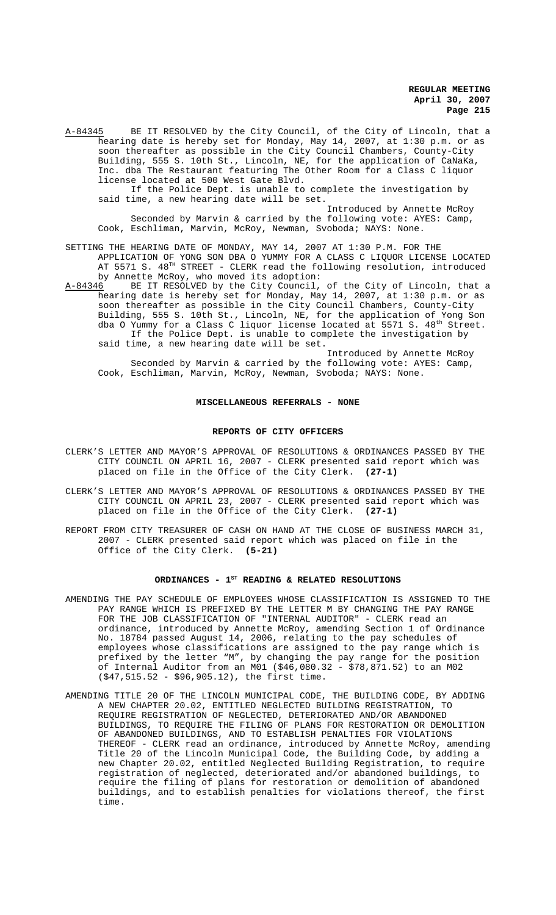A-84345 BE IT RESOLVED by the City Council, of the City of Lincoln, that a hearing date is hereby set for Monday, May 14, 2007, at 1:30 p.m. or as soon thereafter as possible in the City Council Chambers, County-City Building, 555 S. 10th St., Lincoln, NE, for the application of CaNaKa, Inc. dba The Restaurant featuring The Other Room for a Class C liquor license located at 500 West Gate Blvd. If the Police Dept. is unable to complete the investigation by said time, a new hearing date will be set. Introduced by Annette McRoy Seconded by Marvin & carried by the following vote: AYES: Camp, Cook, Eschliman, Marvin, McRoy, Newman, Svoboda; NAYS: None.

SETTING THE HEARING DATE OF MONDAY, MAY 14, 2007 AT 1:30 P.M. FOR THE APPLICATION OF YONG SON DBA O YUMMY FOR A CLASS C LIQUOR LICENSE LOCATED AT 5571 S.  $48^{\text{\tiny{TH}}}$  STREET - CLERK read the following resolution, introduced by Annette McRoy, who moved its adoption:<br>A-84346 BE IT RESOLVED by the City Council,

BE IT RESOLVED by the City Council, of the City of Lincoln, that a hearing date is hereby set for Monday, May 14, 2007, at 1:30 p.m. or as soon thereafter as possible in the City Council Chambers, County-City Building, 555 S. 10th St., Lincoln, NE, for the application of Yong Son dba O Yummy for a Class C liquor license located at  $5571$  S.  $48^{\text{th}}$  Street. If the Police Dept. is unable to complete the investigation by said time, a new hearing date will be set.

Introduced by Annette McRoy Seconded by Marvin & carried by the following vote: AYES: Camp, Cook, Eschliman, Marvin, McRoy, Newman, Svoboda; NAYS: None.

### **MISCELLANEOUS REFERRALS - NONE**

#### **REPORTS OF CITY OFFICERS**

- CLERK'S LETTER AND MAYOR'S APPROVAL OF RESOLUTIONS & ORDINANCES PASSED BY THE CITY COUNCIL ON APRIL 16, 2007 - CLERK presented said report which was placed on file in the Office of the City Clerk. **(27-1)**
- CLERK'S LETTER AND MAYOR'S APPROVAL OF RESOLUTIONS & ORDINANCES PASSED BY THE CITY COUNCIL ON APRIL 23, 2007 - CLERK presented said report which was placed on file in the Office of the City Clerk. **(27-1)**
- REPORT FROM CITY TREASURER OF CASH ON HAND AT THE CLOSE OF BUSINESS MARCH 31, 2007 - CLERK presented said report which was placed on file in the Office of the City Clerk. **(5-21)**

## ORDINANCES - 1<sup>st</sup> READING & RELATED RESOLUTIONS

- AMENDING THE PAY SCHEDULE OF EMPLOYEES WHOSE CLASSIFICATION IS ASSIGNED TO THE PAY RANGE WHICH IS PREFIXED BY THE LETTER M BY CHANGING THE PAY RANGE FOR THE JOB CLASSIFICATION OF "INTERNAL AUDITOR" - CLERK read an ordinance, introduced by Annette McRoy, amending Section 1 of Ordinance No. 18784 passed August 14, 2006, relating to the pay schedules of employees whose classifications are assigned to the pay range which is prefixed by the letter "M", by changing the pay range for the position of Internal Auditor from an M01 (\$46,080.32 - \$78,871.52) to an M02 (\$47,515.52 - \$96,905.12), the first time.
- AMENDING TITLE 20 OF THE LINCOLN MUNICIPAL CODE, THE BUILDING CODE, BY ADDING A NEW CHAPTER 20.02, ENTITLED NEGLECTED BUILDING REGISTRATION, TO REQUIRE REGISTRATION OF NEGLECTED, DETERIORATED AND/OR ABANDONED BUILDINGS, TO REQUIRE THE FILING OF PLANS FOR RESTORATION OR DEMOLITION OF ABANDONED BUILDINGS, AND TO ESTABLISH PENALTIES FOR VIOLATIONS THEREOF - CLERK read an ordinance, introduced by Annette McRoy, amending Title 20 of the Lincoln Municipal Code, the Building Code, by adding a new Chapter 20.02, entitled Neglected Building Registration, to require registration of neglected, deteriorated and/or abandoned buildings, to require the filing of plans for restoration or demolition of abandoned buildings, and to establish penalties for violations thereof, the first time.